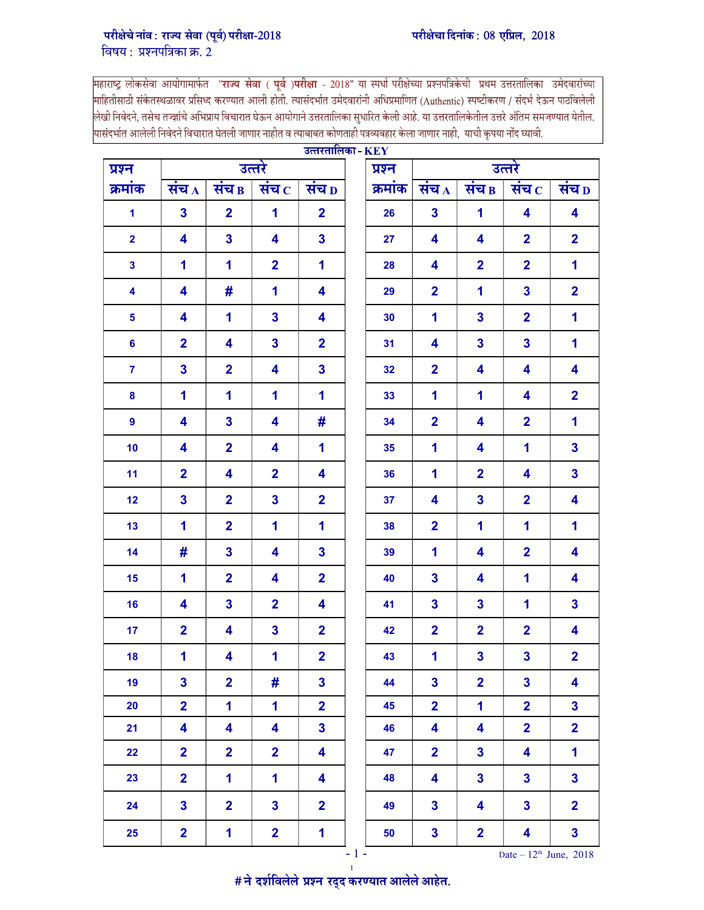## परीक्षेचे नांव: राज्य सेवा (पूर्व) परीक्षा-2018 विषय : प्रश्नपत्रिका क्र. 2

महाराष्ट्र लोकसेवा आयोगामार्फत "**राज्य सेवा** ( **पूर्व )परीक्षा** - 2018" या स्पर्धा परीक्षेच्या प्रश्नपत्रिकेची प्रथम उत्तरतालिका उमेदवारांच्या |<br>|माहितीसाठी संकेतस्थळावर प्रसिध्द करण्यात आली होती. त्यासंदर्भात उमेदवारांनी अधिप्रमाणित (Authentic) स्पष्टीकरण / संदर्भ देऊन पाठविलेली यासंदर्भात आलेली निवेदने विचारात घेतली जाणार नाहीत व त्याबाबत कोणताही पत्रव्यवहार केला जाणार नाही, याची कृपया नोंद घ्यावी.

|                         |                         |                         |                         | $201500090$ = $\bf{N}E$ I |       |         |                         |                         |                                   |                         |
|-------------------------|-------------------------|-------------------------|-------------------------|---------------------------|-------|---------|-------------------------|-------------------------|-----------------------------------|-------------------------|
| प्रश्न                  |                         |                         | उत्तरे                  |                           |       | प्रश्न  |                         |                         | उत्तरे                            |                         |
| क्रमांक                 | संच $_A$                | संच B                   | संच $\,$ $\,$           | संच <sub>D</sub>          |       | क्रमांक | संच $_A$                | संच <sub>B</sub>        | संच $\,$ $\,$                     | संच $\mathbf{D}$        |
| $\mathbf 1$             | $\overline{\mathbf{3}}$ | $\overline{2}$          | $\mathbf{1}$            | $\overline{2}$            |       | 26      | $\mathbf{3}$            | $\mathbf 1$             | $\overline{\mathbf{4}}$           | $\overline{\mathbf{4}}$ |
| $\overline{\mathbf{2}}$ | 4                       | $\overline{\mathbf{3}}$ | $\overline{\mathbf{4}}$ | $\overline{\mathbf{3}}$   |       | 27      | 4                       | 4                       | $\overline{2}$                    | $\overline{2}$          |
| $\overline{\mathbf{3}}$ | $\mathbf 1$             | $\overline{\mathbf{1}}$ | $\overline{2}$          | $\blacktriangleleft$      |       | 28      | 4                       | $\overline{2}$          | $\overline{2}$                    | $\mathbf 1$             |
| $\overline{\mathbf{4}}$ | $\overline{\mathbf{4}}$ | #                       | $\mathbf 1$             | $\overline{\mathbf{4}}$   |       | 29      | $\overline{\mathbf{2}}$ | $\mathbf{1}$            | $\mathbf{3}$                      | $\overline{\mathbf{2}}$ |
| 5                       | 4                       | $\overline{\mathbf{1}}$ | $\overline{\mathbf{3}}$ | $\overline{\mathbf{4}}$   |       | 30      | $\mathbf 1$             | $\overline{\mathbf{3}}$ | $\overline{\mathbf{2}}$           | $\overline{\mathbf{1}}$ |
| $6\phantom{a}$          | $\overline{2}$          | $\overline{\mathbf{4}}$ | $\mathbf{3}$            | $\overline{2}$            |       | 31      | 4                       | $\overline{\mathbf{3}}$ | $\overline{\mathbf{3}}$           | $\mathbf{1}$            |
| $\overline{7}$          | $\overline{\mathbf{3}}$ | $\overline{2}$          | $\overline{\mathbf{4}}$ | $\overline{\mathbf{3}}$   |       | 32      | $\overline{\mathbf{2}}$ | 4                       | $\overline{\mathbf{4}}$           | $\overline{\mathbf{4}}$ |
| 8                       | 1                       | $\mathbf{1}$            | $\mathbf{1}$            | $\mathbf 1$               |       | 33      | $\mathbf{1}$            | $\mathbf{1}$            | 4                                 | $\overline{\mathbf{2}}$ |
| $\overline{\mathbf{9}}$ | 4                       | $\overline{\mathbf{3}}$ | 4                       | #                         |       | 34      | $\overline{\mathbf{2}}$ | $\overline{\mathbf{4}}$ | $\overline{2}$                    | $\mathbf 1$             |
| 10                      | 4                       | $\overline{2}$          | 4                       | $\mathbf{1}$              |       | 35      | 1                       | 4                       | 1                                 | $\overline{\mathbf{3}}$ |
| 11                      | $\overline{\mathbf{2}}$ | 4                       | $\overline{\mathbf{2}}$ | $\overline{\mathbf{4}}$   |       | 36      | 1                       | $\overline{2}$          | $\boldsymbol{4}$                  | $\overline{\mathbf{3}}$ |
| 12                      | 3                       | $\overline{2}$          | $\mathbf{3}$            | $\overline{2}$            |       | 37      | 4                       | $\overline{\mathbf{3}}$ | $\overline{2}$                    | $\overline{\mathbf{4}}$ |
| 13                      | 1                       | $\overline{2}$          | $\mathbf 1$             | 1                         |       | 38      | $\overline{\mathbf{2}}$ | $\mathbf{1}$            | 1                                 | $\mathbf{1}$            |
| 14                      | #                       | $\overline{\mathbf{3}}$ | $\overline{\mathbf{4}}$ | $\overline{\mathbf{3}}$   |       | 39      | 1                       | $\overline{\mathbf{4}}$ | $\overline{\mathbf{2}}$           | $\overline{\mathbf{4}}$ |
| 15                      | $\mathbf{1}$            | $\overline{2}$          | 4                       | $\overline{2}$            |       | 40      | $\mathbf{3}$            | $\overline{\mathbf{4}}$ | $\mathbf 1$                       | $\overline{\mathbf{4}}$ |
| 16                      | 4                       | $\overline{\mathbf{3}}$ | $\overline{2}$          | $\overline{\mathbf{4}}$   |       | 41      | $\mathbf{3}$            | $\overline{\mathbf{3}}$ | 1                                 | $\overline{\mathbf{3}}$ |
| 17                      | $\overline{\mathbf{2}}$ | 4                       | $\mathbf{3}$            | $\overline{\mathbf{2}}$   |       | 42      | $\overline{\mathbf{2}}$ | $\overline{\mathbf{2}}$ | $\overline{\mathbf{2}}$           | $\overline{\mathbf{4}}$ |
| 18                      | $\mathbf{1}$            | $\overline{\mathbf{4}}$ | $\mathbf{1}$            | $\overline{\mathbf{2}}$   |       | 43      | $\mathbf{1}$            | $\overline{\mathbf{3}}$ | $\mathbf{3}$                      | $\overline{\mathbf{2}}$ |
| 19                      | 3                       | $\overline{2}$          | #                       | $\mathbf{3}$              |       | 44      | $\mathbf{3}$            | $\overline{2}$          | $\mathbf{3}$                      | 4                       |
| 20                      | $\overline{2}$          | 1                       | 1                       | $\overline{2}$            |       | 45      | $\overline{\mathbf{2}}$ | 1                       | $\overline{\mathbf{2}}$           | $\overline{\mathbf{3}}$ |
| 21                      | 4                       | 4                       | 4                       | $\mathbf{3}$              |       | 46      | 4                       | 4                       | $\overline{2}$                    | $\overline{\mathbf{2}}$ |
| 22                      | $\overline{\mathbf{2}}$ | $\overline{2}$          | $\overline{\mathbf{2}}$ | 4                         |       | 47      | $\mathbf 2$             | $\mathbf{3}$            | 4                                 | 1                       |
| 23                      | $\overline{2}$          | 1                       | 1                       | 4                         |       | 48      | 4                       | 3                       | 3                                 | $\overline{\mathbf{3}}$ |
| 24                      | 3                       | $\overline{2}$          | 3                       | $\overline{\mathbf{2}}$   |       | 49      | 3                       | 4                       | $\overline{\mathbf{3}}$           | $\overline{\mathbf{2}}$ |
| 25                      | $\overline{2}$          | 1                       | $\overline{2}$          | 1                         |       | 50      | 3                       | $\overline{2}$          | $\overline{\mathbf{4}}$           | $\overline{\mathbf{3}}$ |
|                         |                         |                         |                         |                           | $-1-$ |         |                         |                         | Date $-12^{\text{th}}$ June, 2018 |                         |

 $\overline{\phantom{a}}$  $\overline{17}$ 

# ने दर्शविलेले प्रश्न रदुद करण्यात आलेले आहेत.